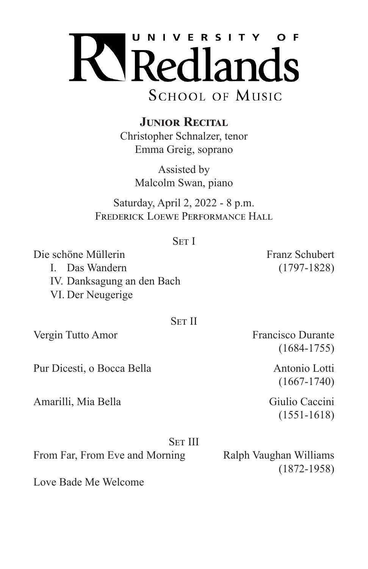

**JUNIOR RECITAL** 

Christopher Schnalzer, tenor Emma Greig, soprano

> Assisted by Malcolm Swan, piano

Saturday, April 2, 2022 - 8 p.m. FREDERICK LOEWE PERFORMANCE HALL

| ۰. |
|----|
|----|

Die schöne Müllerin Franz Schubert I. Das Wandern (1797-1828) IV. Danksagung an den Bach VI. Der Neugerige

## Set II

Pur Dicesti, o Bocca Bella Antonio Lotti

Amarilli, Mia Bella Giulio Caccini

Vergin Tutto Amor<br>Francisco Durante (1684-1755)

(1667-1740)

(1551-1618)

Set III

(1872-1958)

From Far, From Eve and Morning Ralph Vaughan Williams

Love Bade Me Welcome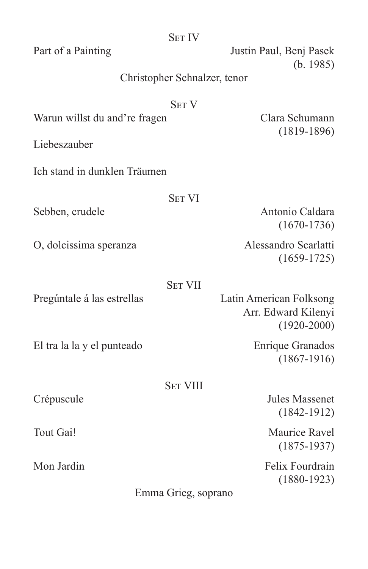|                                               | <b>SET IV</b>                |                                                                   |
|-----------------------------------------------|------------------------------|-------------------------------------------------------------------|
| Part of a Painting                            |                              | Justin Paul, Benj Pasek<br>(b. 1985)                              |
|                                               | Christopher Schnalzer, tenor |                                                                   |
| <b>SET V</b><br>Warun willst du and're fragen |                              | Clara Schumann<br>$(1819-1896)$                                   |
| Liebeszauber                                  |                              |                                                                   |
| Ich stand in dunklen Träumen                  |                              |                                                                   |
|                                               | <b>SET VI</b>                |                                                                   |
| Sebben, crudele                               |                              | Antonio Caldara<br>$(1670-1736)$                                  |
| O, dolcissima speranza                        |                              | Alessandro Scarlatti<br>$(1659-1725)$                             |
|                                               | <b>SET VII</b>               |                                                                   |
| Pregúntale á las estrellas                    |                              | Latin American Folksong<br>Arr. Edward Kilenyi<br>$(1920 - 2000)$ |
| El tra la la y el punteado                    |                              | Enrique Granados<br>$(1867-1916)$                                 |
|                                               | <b>SET VIII</b>              |                                                                   |
| Crépuscule                                    |                              | <b>Jules Massenet</b><br>$(1842 - 1912)$                          |
| Tout Gai!                                     |                              | Maurice Ravel<br>$(1875 - 1937)$                                  |
| Mon Jardin                                    |                              | Felix Fourdrain<br>$(1880 - 1923)$                                |
|                                               | Emma Grieg, soprano          |                                                                   |